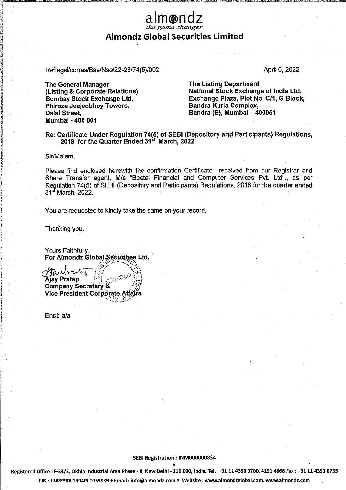## alm@ndz the game changer Almondz Global Securities Limited

See nau

Ref:ags!/corres/Bse/Nse/22-23/74(5)/002 April 6, 2022

<u>an di C</u>

The General Manager The Listing Department Phiroze Jeejeebhoy Towers, Dalal Street, Bandra (E), Mumbai – 400051 Mumbai - 400 001

(Listing & Corporate Relations) National Stock Exchange of India Ltd. Bombay Stock Exchange Ltd. Exchange Plaza, Plot No. C/1, G Block,<br>Phiroze Jeejeebhoy Towers, Bandra Kurla Complex,

Re: Certificate Under Regulation 74(5) of SEB! (Depository and Participants) Regulations, 2018 for the Quarter Ended 31<sup>st</sup> March, 2022

Sir/Ma'am,

Please find enclosed herewith the confirmation Certificate received from our Registrar and Share Transfer agent, M/s "Beetal Financial and Computer Services Pvt. Ltd"., as per Reguiation 74(5) of SEBI (Depository and Participants) Regulations, 2018 for the quarter ended 31<sup>st</sup> March, 2022.

You are requested to kindly take the same on your record.

Thanking you,

Yours Faithfully, For Almondz Global Securities Ltd.

Ruberta Ajay Pratap Company Secretary.& Vice President Cor

Encl: a/a

## SEBI Registration : INM000000834 a

Registered Office : F-33/3, Okhla Industrial Area Phase - II, New Delhi - 110 020, India. Tel. :+91 11 4350 0700, 4151 4666 Fax : +91 11 4350 0735 CIN ; L74899DL1994PLC059839 @ Email : info@almondz.com ¢ Website : www.almondzglobal.com, www.almondz.com